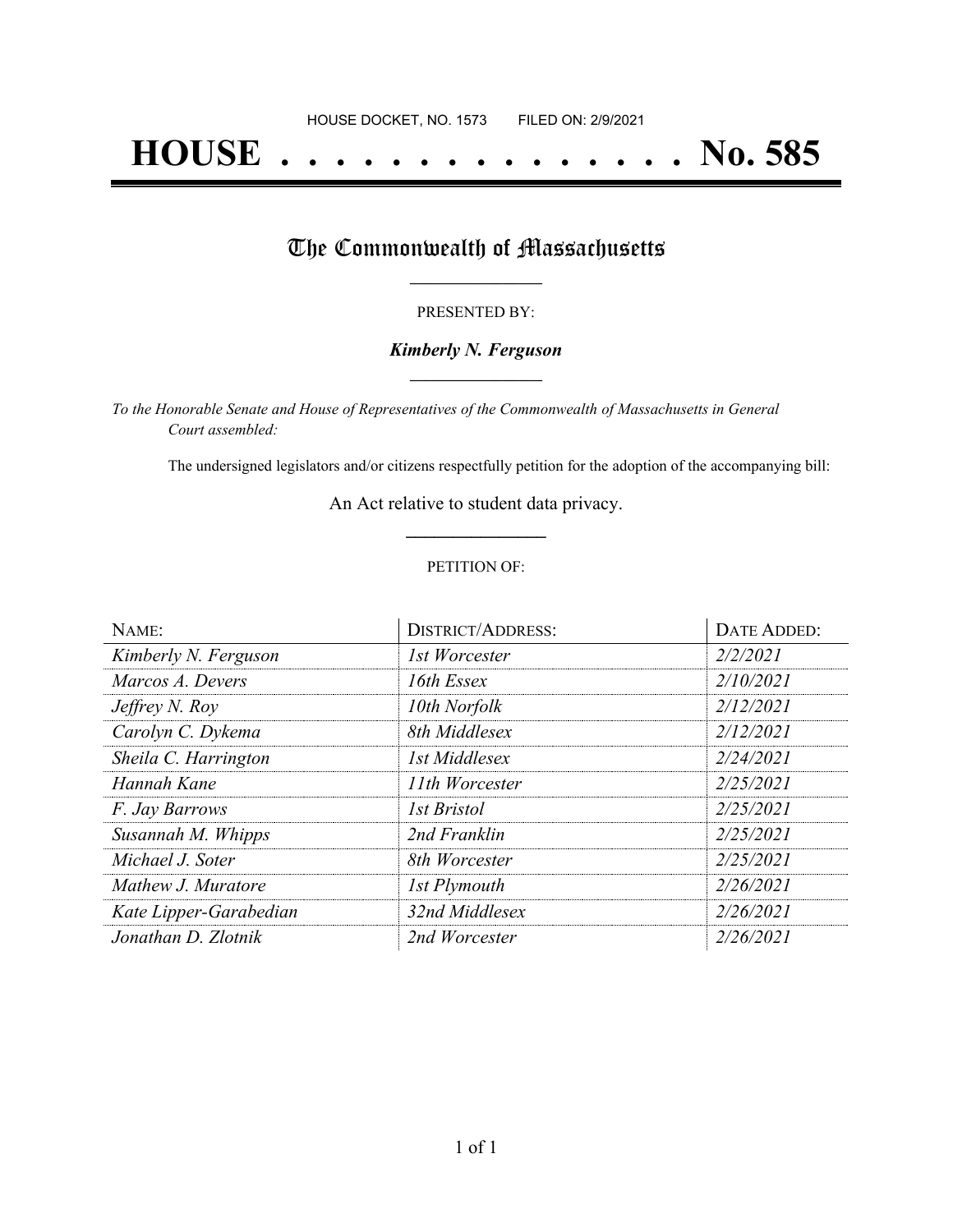# **HOUSE . . . . . . . . . . . . . . . No. 585**

## The Commonwealth of Massachusetts

#### PRESENTED BY:

#### *Kimberly N. Ferguson* **\_\_\_\_\_\_\_\_\_\_\_\_\_\_\_\_\_**

*To the Honorable Senate and House of Representatives of the Commonwealth of Massachusetts in General Court assembled:*

The undersigned legislators and/or citizens respectfully petition for the adoption of the accompanying bill:

An Act relative to student data privacy. **\_\_\_\_\_\_\_\_\_\_\_\_\_\_\_**

#### PETITION OF:

| NAME:                  | <b>DISTRICT/ADDRESS:</b> | <b>DATE ADDED:</b> |
|------------------------|--------------------------|--------------------|
| Kimberly N. Ferguson   | 1st Worcester            | 2/2/2021           |
| Marcos A. Devers       | 16th Essex               | 2/10/2021          |
| Jeffrey N. Roy         | 10th Norfolk             | 2/12/2021          |
| Carolyn C. Dykema      | 8th Middlesex            | 2/12/2021          |
| Sheila C. Harrington   | 1st Middlesex            | 2/24/2021          |
| Hannah Kane            | 11th Worcester           | 2/25/2021          |
| F. Jay Barrows         | 1st Bristol              | 2/25/2021          |
| Susannah M. Whipps     | 2nd Franklin             | 2/25/2021          |
| Michael J. Soter       | 8th Worcester            | 2/25/2021          |
| Mathew J. Muratore     | 1st Plymouth             | 2/26/2021          |
| Kate Lipper-Garabedian | 32nd Middlesex           | 2/26/2021          |
| Jonathan D. Zlotnik    | 2nd Worcester            | 2/26/2021          |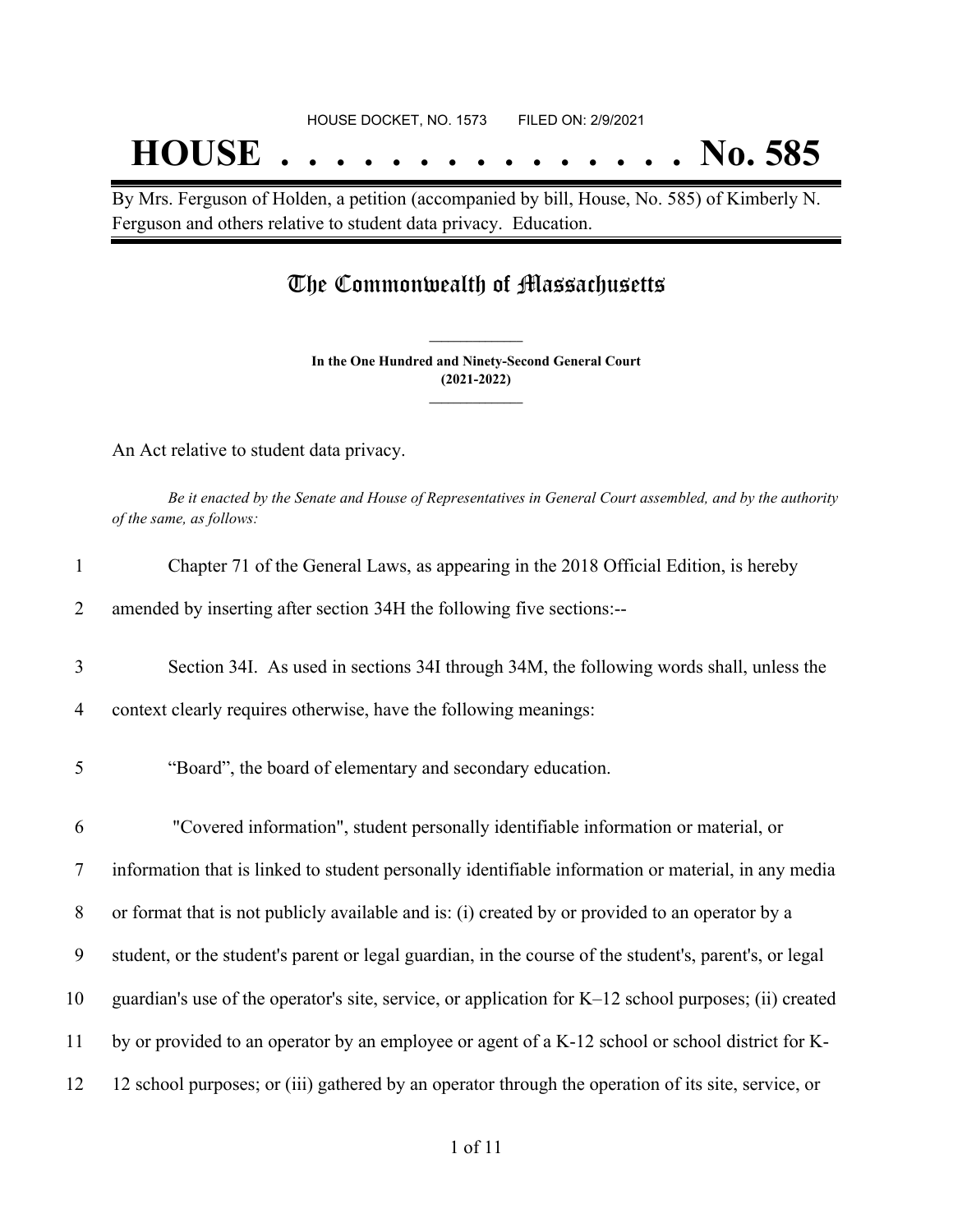## **HOUSE . . . . . . . . . . . . . . . No. 585**

By Mrs. Ferguson of Holden, a petition (accompanied by bill, House, No. 585) of Kimberly N. Ferguson and others relative to student data privacy. Education.

### The Commonwealth of Massachusetts

**In the One Hundred and Ninety-Second General Court (2021-2022) \_\_\_\_\_\_\_\_\_\_\_\_\_\_\_**

**\_\_\_\_\_\_\_\_\_\_\_\_\_\_\_**

An Act relative to student data privacy.

Be it enacted by the Senate and House of Representatives in General Court assembled, and by the authority *of the same, as follows:*

| $\mathbf{1}$   | Chapter 71 of the General Laws, as appearing in the 2018 Official Edition, is hereby                   |
|----------------|--------------------------------------------------------------------------------------------------------|
| 2              | amended by inserting after section 34H the following five sections:--                                  |
| 3              | Section 34I. As used in sections 34I through 34M, the following words shall, unless the                |
| 4              | context clearly requires otherwise, have the following meanings:                                       |
| 5              | "Board", the board of elementary and secondary education.                                              |
| 6              | "Covered information", student personally identifiable information or material, or                     |
| $\overline{7}$ | information that is linked to student personally identifiable information or material, in any media    |
| 8              | or format that is not publicly available and is: (i) created by or provided to an operator by a        |
| 9              | student, or the student's parent or legal guardian, in the course of the student's, parent's, or legal |
| 10             | guardian's use of the operator's site, service, or application for K-12 school purposes; (ii) created  |
| 11             | by or provided to an operator by an employee or agent of a K-12 school or school district for K-       |
| 12             | 12 school purposes; or (iii) gathered by an operator through the operation of its site, service, or    |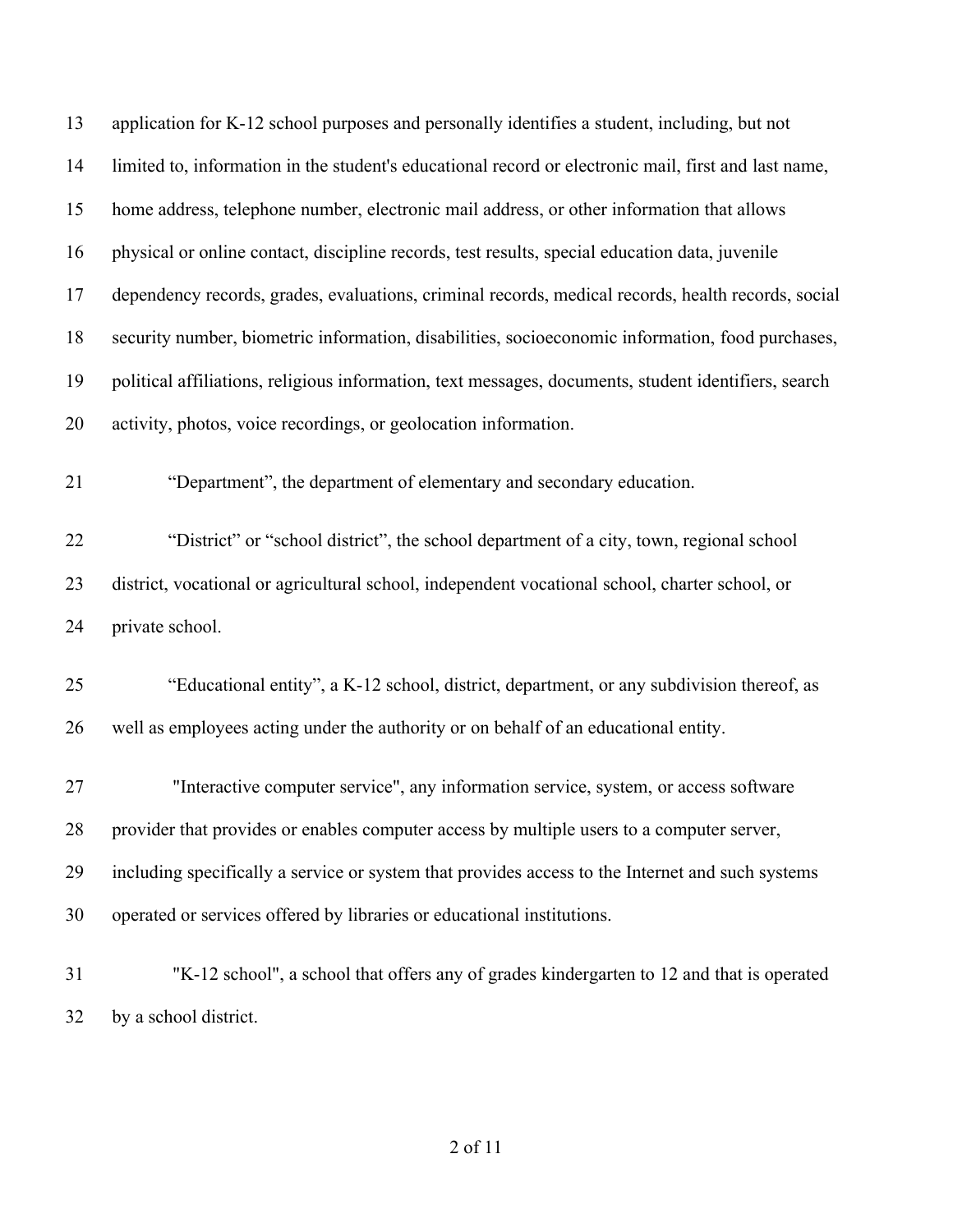| 13 | application for K-12 school purposes and personally identifies a student, including, but not         |
|----|------------------------------------------------------------------------------------------------------|
| 14 | limited to, information in the student's educational record or electronic mail, first and last name, |
| 15 | home address, telephone number, electronic mail address, or other information that allows            |
| 16 | physical or online contact, discipline records, test results, special education data, juvenile       |
| 17 | dependency records, grades, evaluations, criminal records, medical records, health records, social   |
| 18 | security number, biometric information, disabilities, socioeconomic information, food purchases,     |
| 19 | political affiliations, religious information, text messages, documents, student identifiers, search |
| 20 | activity, photos, voice recordings, or geolocation information.                                      |
| 21 | "Department", the department of elementary and secondary education.                                  |
| 22 | "District" or "school district", the school department of a city, town, regional school              |
| 23 | district, vocational or agricultural school, independent vocational school, charter school, or       |
| 24 | private school.                                                                                      |
| 25 | "Educational entity", a K-12 school, district, department, or any subdivision thereof, as            |
| 26 | well as employees acting under the authority or on behalf of an educational entity.                  |
| 27 | "Interactive computer service", any information service, system, or access software                  |
| 28 | provider that provides or enables computer access by multiple users to a computer server,            |
| 29 | including specifically a service or system that provides access to the Internet and such systems     |
| 30 | operated or services offered by libraries or educational institutions.                               |
| 31 | "K-12 school", a school that offers any of grades kindergarten to 12 and that is operated            |

by a school district.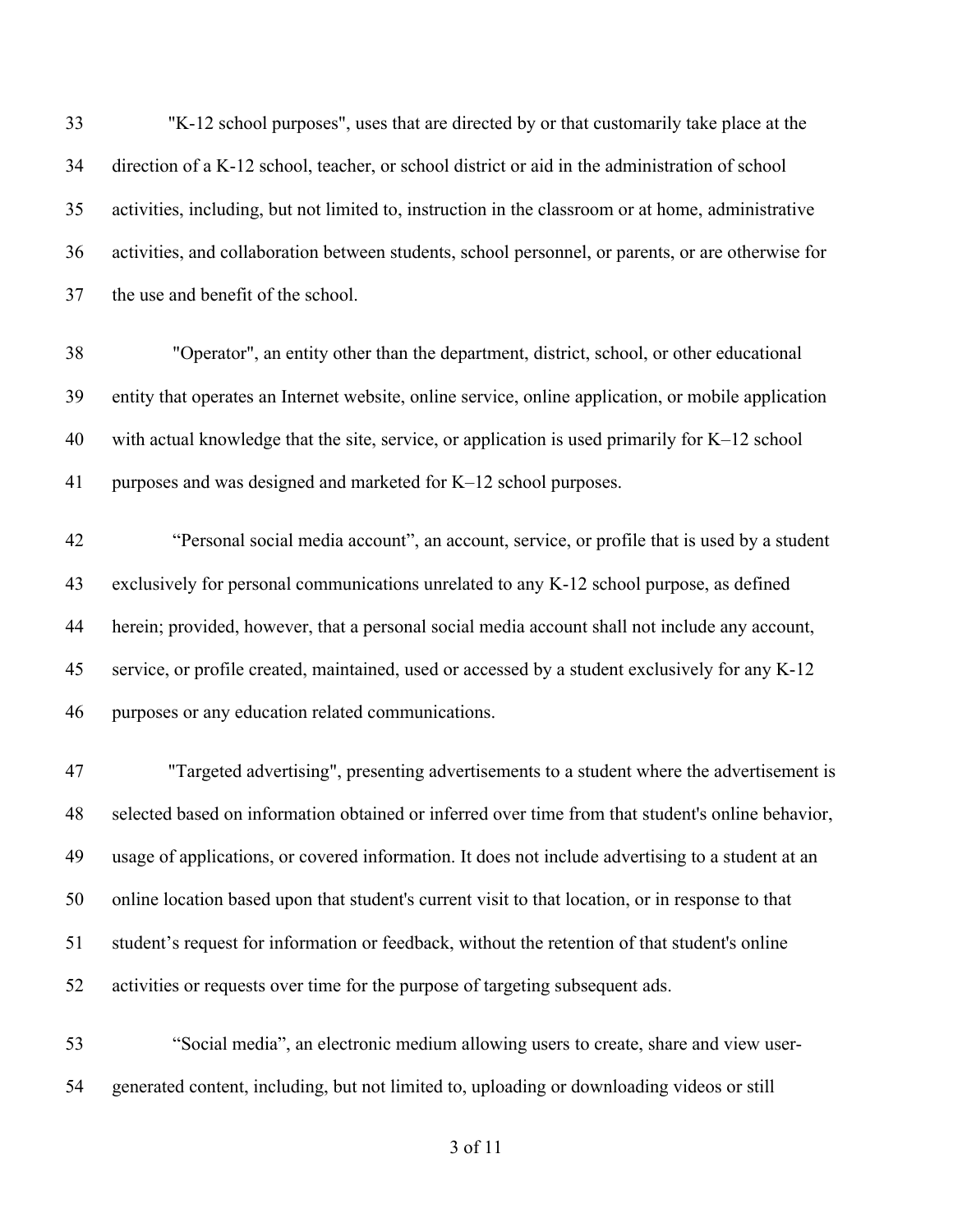"K-12 school purposes", uses that are directed by or that customarily take place at the direction of a K-12 school, teacher, or school district or aid in the administration of school activities, including, but not limited to, instruction in the classroom or at home, administrative activities, and collaboration between students, school personnel, or parents, or are otherwise for the use and benefit of the school.

 "Operator", an entity other than the department, district, school, or other educational entity that operates an Internet website, online service, online application, or mobile application with actual knowledge that the site, service, or application is used primarily for K–12 school purposes and was designed and marketed for K–12 school purposes.

 "Personal social media account", an account, service, or profile that is used by a student exclusively for personal communications unrelated to any K-12 school purpose, as defined herein; provided, however, that a personal social media account shall not include any account, service, or profile created, maintained, used or accessed by a student exclusively for any K-12 purposes or any education related communications.

 "Targeted advertising", presenting advertisements to a student where the advertisement is selected based on information obtained or inferred over time from that student's online behavior, usage of applications, or covered information. It does not include advertising to a student at an online location based upon that student's current visit to that location, or in response to that student's request for information or feedback, without the retention of that student's online activities or requests over time for the purpose of targeting subsequent ads.

 "Social media", an electronic medium allowing users to create, share and view user-generated content, including, but not limited to, uploading or downloading videos or still

of 11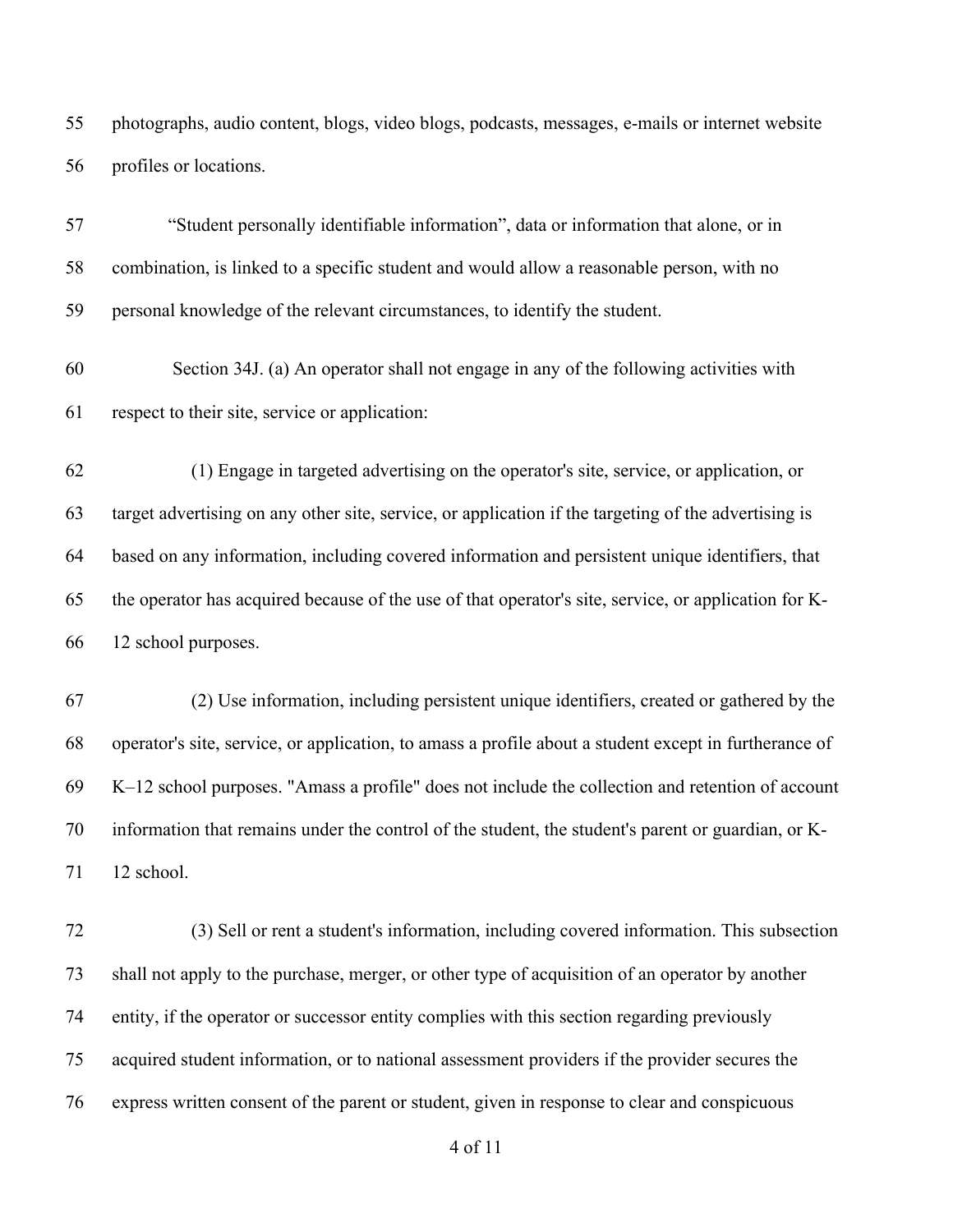photographs, audio content, blogs, video blogs, podcasts, messages, e-mails or internet website profiles or locations.

 "Student personally identifiable information", data or information that alone, or in combination, is linked to a specific student and would allow a reasonable person, with no personal knowledge of the relevant circumstances, to identify the student.

 Section 34J. (a) An operator shall not engage in any of the following activities with respect to their site, service or application:

62 (1) Engage in targeted advertising on the operator's site, service, or application, or target advertising on any other site, service, or application if the targeting of the advertising is based on any information, including covered information and persistent unique identifiers, that the operator has acquired because of the use of that operator's site, service, or application for K-12 school purposes.

67 (2) Use information, including persistent unique identifiers, created or gathered by the operator's site, service, or application, to amass a profile about a student except in furtherance of K–12 school purposes. "Amass a profile" does not include the collection and retention of account information that remains under the control of the student, the student's parent or guardian, or K-12 school.

72 (3) Sell or rent a student's information, including covered information. This subsection shall not apply to the purchase, merger, or other type of acquisition of an operator by another entity, if the operator or successor entity complies with this section regarding previously acquired student information, or to national assessment providers if the provider secures the express written consent of the parent or student, given in response to clear and conspicuous

of 11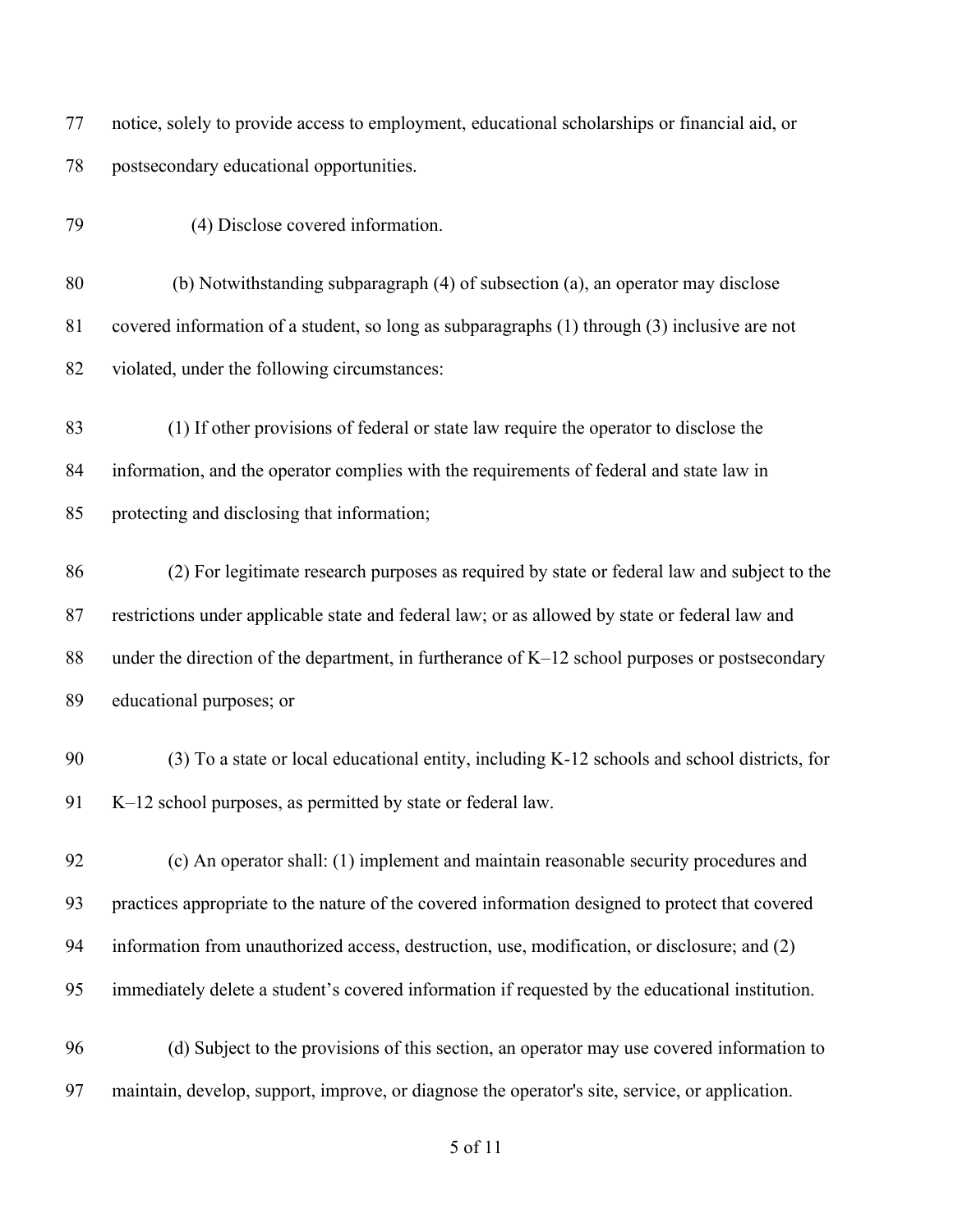notice, solely to provide access to employment, educational scholarships or financial aid, or postsecondary educational opportunities.

79 (4) Disclose covered information.

 (b) Notwithstanding subparagraph (4) of subsection (a), an operator may disclose covered information of a student, so long as subparagraphs (1) through (3) inclusive are not violated, under the following circumstances:

 (1) If other provisions of federal or state law require the operator to disclose the information, and the operator complies with the requirements of federal and state law in protecting and disclosing that information;

 (2) For legitimate research purposes as required by state or federal law and subject to the restrictions under applicable state and federal law; or as allowed by state or federal law and 88 under the direction of the department, in furtherance of K–12 school purposes or postsecondary educational purposes; or

 (3) To a state or local educational entity, including K-12 schools and school districts, for K–12 school purposes, as permitted by state or federal law.

 (c) An operator shall: (1) implement and maintain reasonable security procedures and practices appropriate to the nature of the covered information designed to protect that covered information from unauthorized access, destruction, use, modification, or disclosure; and (2) immediately delete a student's covered information if requested by the educational institution.

 (d) Subject to the provisions of this section, an operator may use covered information to maintain, develop, support, improve, or diagnose the operator's site, service, or application.

of 11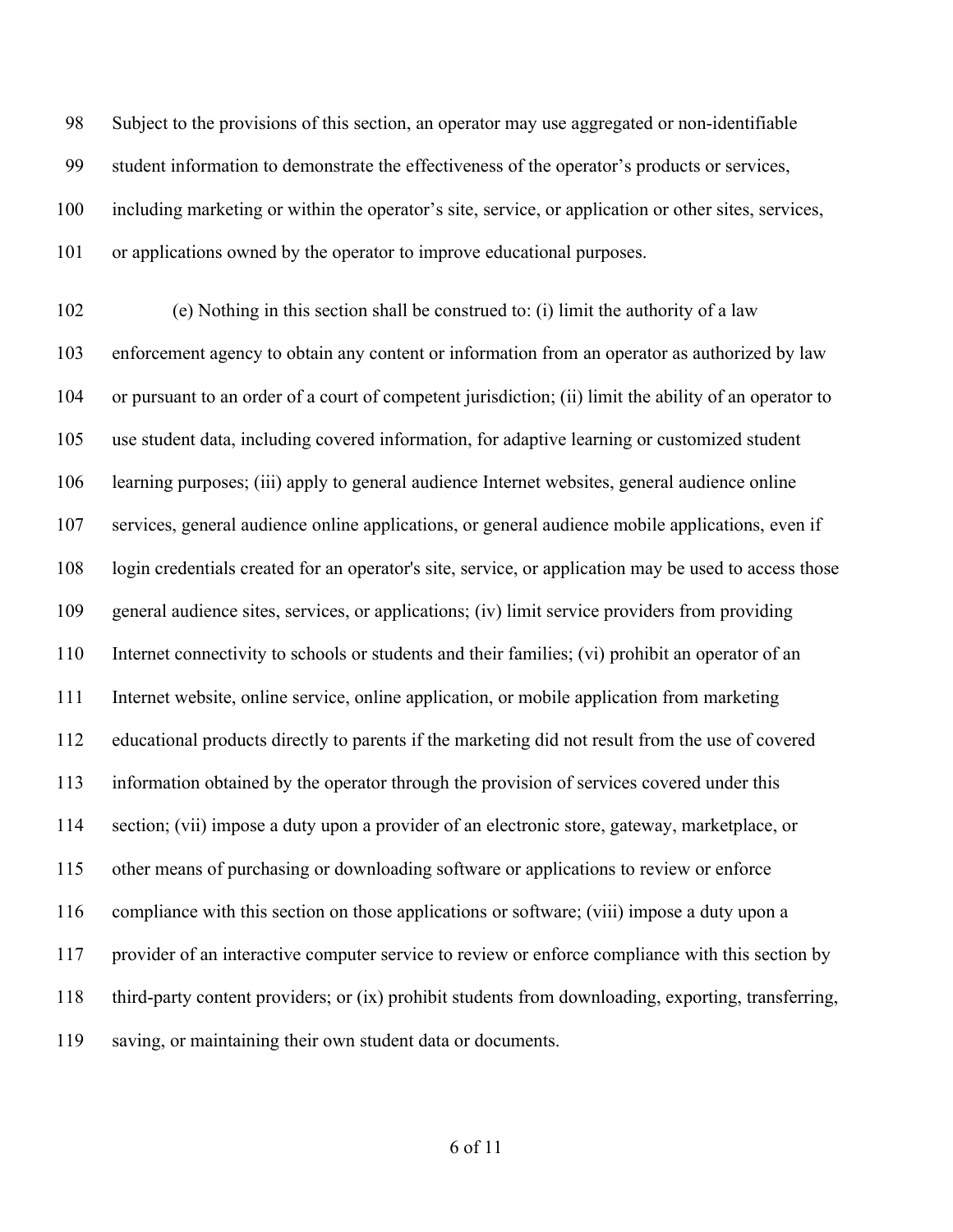Subject to the provisions of this section, an operator may use aggregated or non-identifiable student information to demonstrate the effectiveness of the operator's products or services, including marketing or within the operator's site, service, or application or other sites, services, or applications owned by the operator to improve educational purposes.

 (e) Nothing in this section shall be construed to: (i) limit the authority of a law enforcement agency to obtain any content or information from an operator as authorized by law or pursuant to an order of a court of competent jurisdiction; (ii) limit the ability of an operator to use student data, including covered information, for adaptive learning or customized student learning purposes; (iii) apply to general audience Internet websites, general audience online services, general audience online applications, or general audience mobile applications, even if login credentials created for an operator's site, service, or application may be used to access those general audience sites, services, or applications; (iv) limit service providers from providing Internet connectivity to schools or students and their families; (vi) prohibit an operator of an Internet website, online service, online application, or mobile application from marketing educational products directly to parents if the marketing did not result from the use of covered information obtained by the operator through the provision of services covered under this section; (vii) impose a duty upon a provider of an electronic store, gateway, marketplace, or other means of purchasing or downloading software or applications to review or enforce compliance with this section on those applications or software; (viii) impose a duty upon a provider of an interactive computer service to review or enforce compliance with this section by third-party content providers; or (ix) prohibit students from downloading, exporting, transferring, saving, or maintaining their own student data or documents.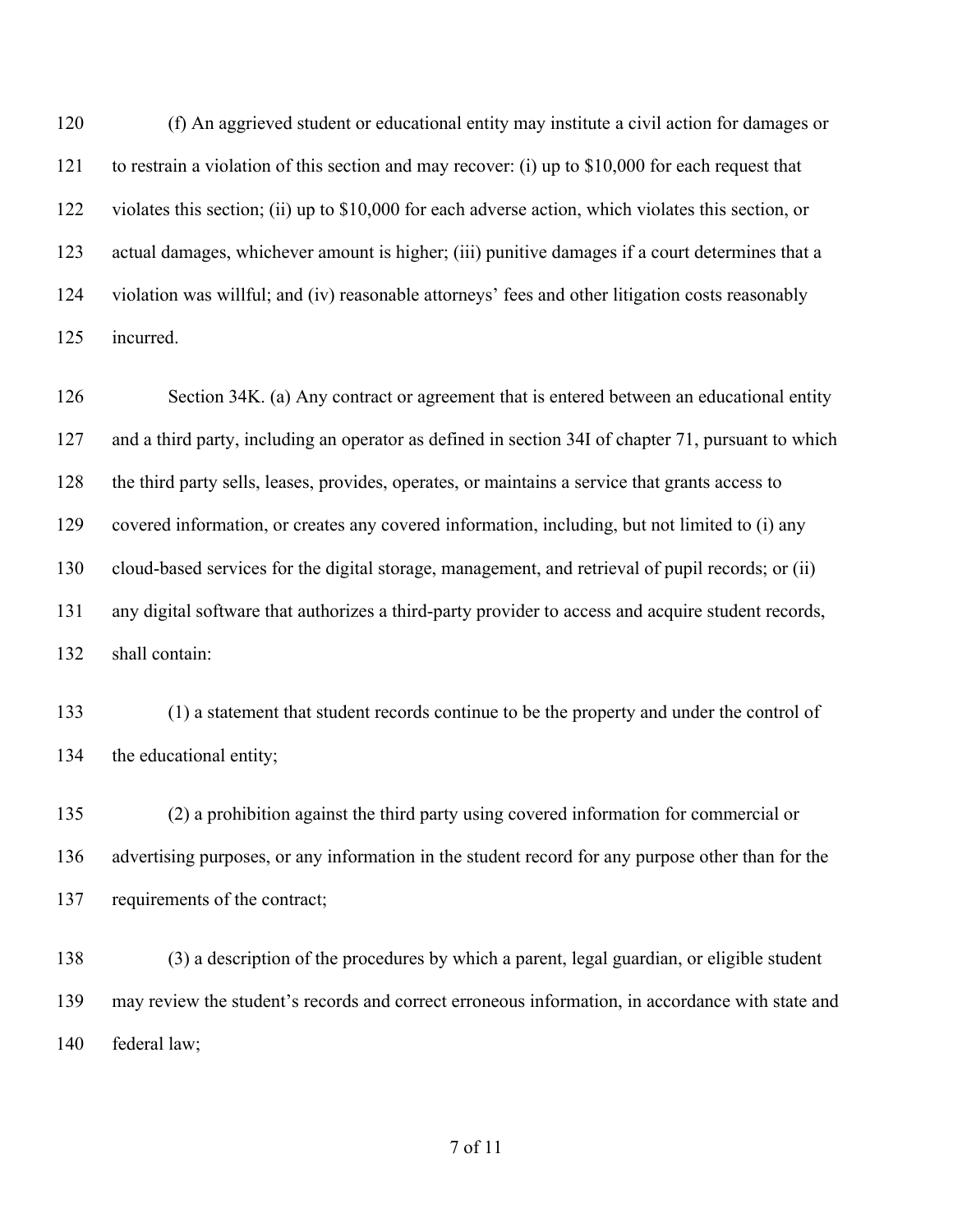(f) An aggrieved student or educational entity may institute a civil action for damages or to restrain a violation of this section and may recover: (i) up to \$10,000 for each request that violates this section; (ii) up to \$10,000 for each adverse action, which violates this section, or actual damages, whichever amount is higher; (iii) punitive damages if a court determines that a violation was willful; and (iv) reasonable attorneys' fees and other litigation costs reasonably incurred.

126 Section 34K. (a) Any contract or agreement that is entered between an educational entity and a third party, including an operator as defined in section 34I of chapter 71, pursuant to which the third party sells, leases, provides, operates, or maintains a service that grants access to covered information, or creates any covered information, including, but not limited to (i) any cloud-based services for the digital storage, management, and retrieval of pupil records; or (ii) any digital software that authorizes a third-party provider to access and acquire student records, shall contain:

 (1) a statement that student records continue to be the property and under the control of the educational entity;

 (2) a prohibition against the third party using covered information for commercial or advertising purposes, or any information in the student record for any purpose other than for the requirements of the contract;

 (3) a description of the procedures by which a parent, legal guardian, or eligible student may review the student's records and correct erroneous information, in accordance with state and federal law;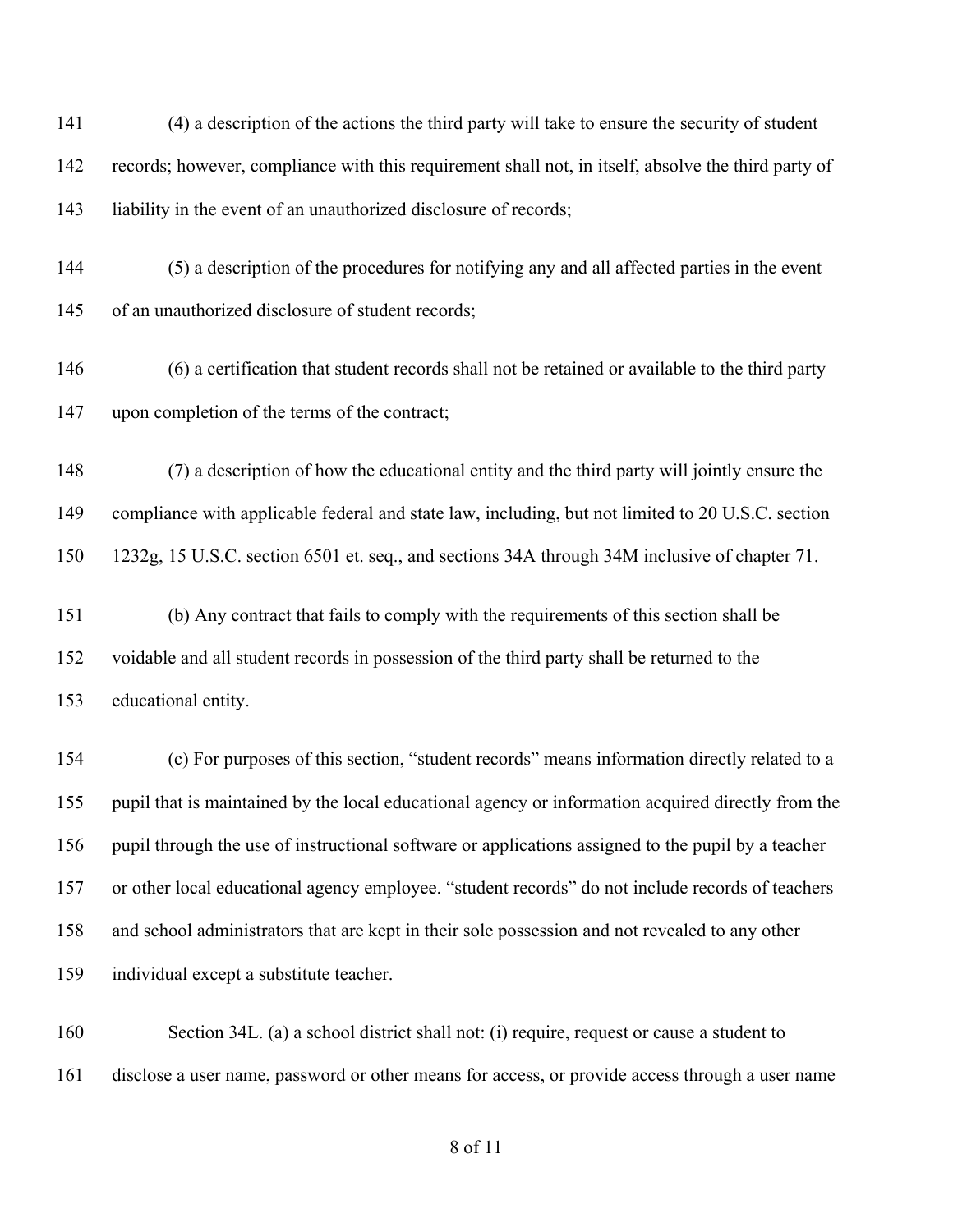(4) a description of the actions the third party will take to ensure the security of student records; however, compliance with this requirement shall not, in itself, absolve the third party of 143 liability in the event of an unauthorized disclosure of records;

 (5) a description of the procedures for notifying any and all affected parties in the event of an unauthorized disclosure of student records;

 (6) a certification that student records shall not be retained or available to the third party upon completion of the terms of the contract;

 (7) a description of how the educational entity and the third party will jointly ensure the compliance with applicable federal and state law, including, but not limited to 20 U.S.C. section 1232g, 15 U.S.C. section 6501 et. seq., and sections 34A through 34M inclusive of chapter 71.

 (b) Any contract that fails to comply with the requirements of this section shall be voidable and all student records in possession of the third party shall be returned to the educational entity.

 (c) For purposes of this section, "student records" means information directly related to a pupil that is maintained by the local educational agency or information acquired directly from the pupil through the use of instructional software or applications assigned to the pupil by a teacher or other local educational agency employee. "student records" do not include records of teachers and school administrators that are kept in their sole possession and not revealed to any other individual except a substitute teacher.

 Section 34L. (a) a school district shall not: (i) require, request or cause a student to disclose a user name, password or other means for access, or provide access through a user name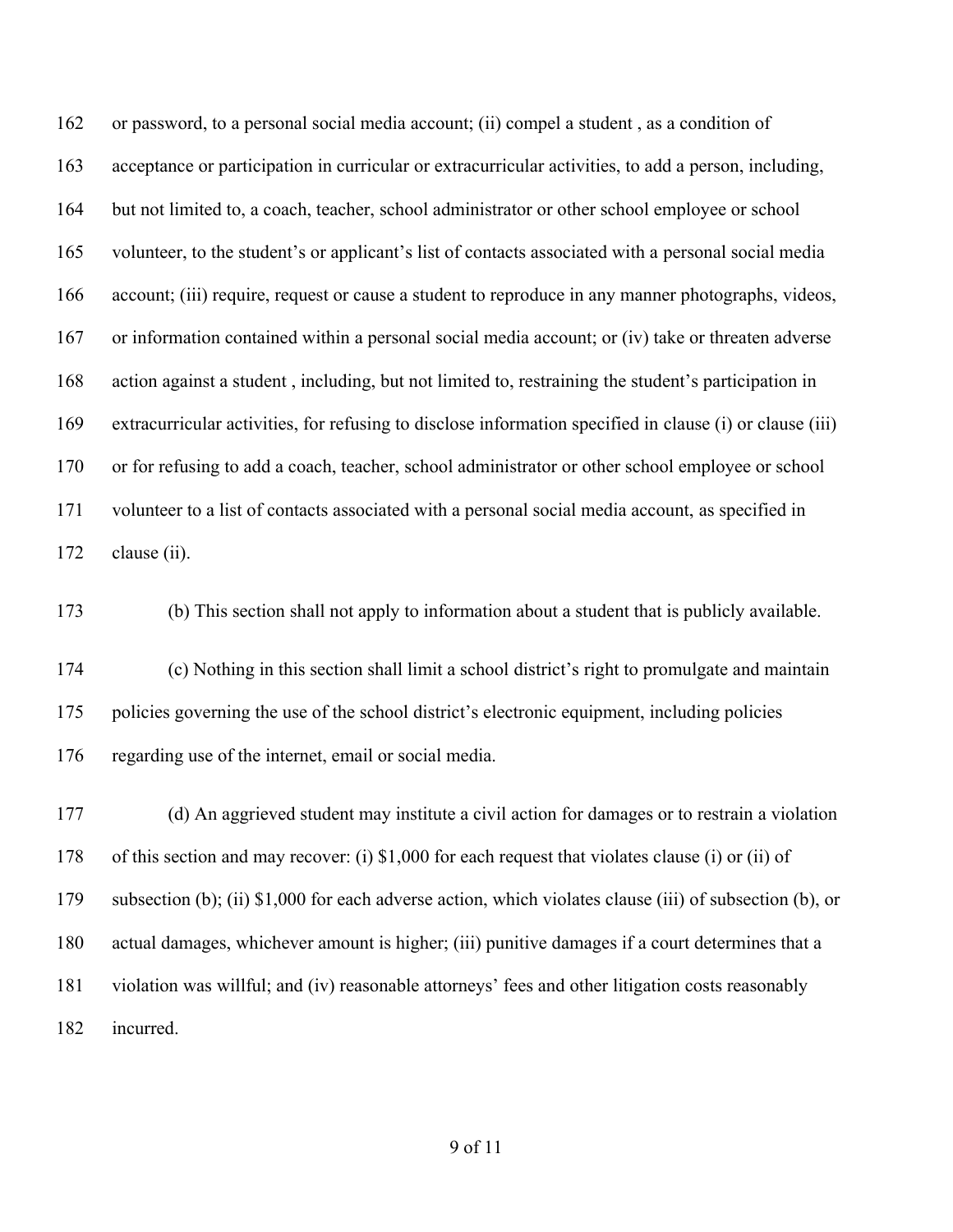or password, to a personal social media account; (ii) compel a student , as a condition of acceptance or participation in curricular or extracurricular activities, to add a person, including, but not limited to, a coach, teacher, school administrator or other school employee or school volunteer, to the student's or applicant's list of contacts associated with a personal social media account; (iii) require, request or cause a student to reproduce in any manner photographs, videos, or information contained within a personal social media account; or (iv) take or threaten adverse action against a student , including, but not limited to, restraining the student's participation in extracurricular activities, for refusing to disclose information specified in clause (i) or clause (iii) or for refusing to add a coach, teacher, school administrator or other school employee or school volunteer to a list of contacts associated with a personal social media account, as specified in 172 clause (ii).

(b) This section shall not apply to information about a student that is publicly available.

 (c) Nothing in this section shall limit a school district's right to promulgate and maintain policies governing the use of the school district's electronic equipment, including policies regarding use of the internet, email or social media.

 (d) An aggrieved student may institute a civil action for damages or to restrain a violation of this section and may recover: (i) \$1,000 for each request that violates clause (i) or (ii) of subsection (b); (ii) \$1,000 for each adverse action, which violates clause (iii) of subsection (b), or actual damages, whichever amount is higher; (iii) punitive damages if a court determines that a violation was willful; and (iv) reasonable attorneys' fees and other litigation costs reasonably incurred.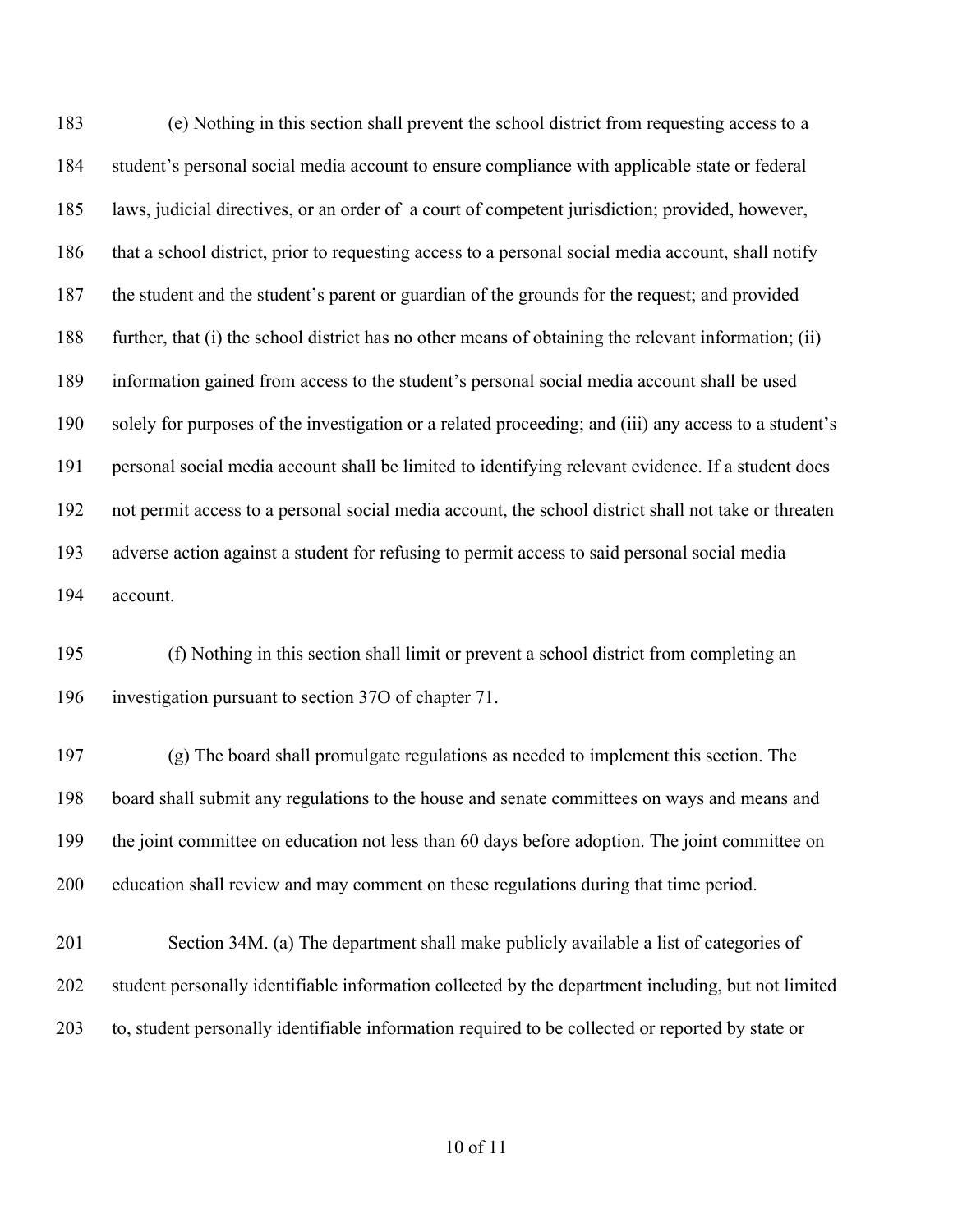(e) Nothing in this section shall prevent the school district from requesting access to a student's personal social media account to ensure compliance with applicable state or federal laws, judicial directives, or an order of a court of competent jurisdiction; provided, however, that a school district, prior to requesting access to a personal social media account, shall notify the student and the student's parent or guardian of the grounds for the request; and provided further, that (i) the school district has no other means of obtaining the relevant information; (ii) information gained from access to the student's personal social media account shall be used solely for purposes of the investigation or a related proceeding; and (iii) any access to a student's personal social media account shall be limited to identifying relevant evidence. If a student does not permit access to a personal social media account, the school district shall not take or threaten adverse action against a student for refusing to permit access to said personal social media account.

 (f) Nothing in this section shall limit or prevent a school district from completing an investigation pursuant to section 37O of chapter 71.

 (g) The board shall promulgate regulations as needed to implement this section. The board shall submit any regulations to the house and senate committees on ways and means and the joint committee on education not less than 60 days before adoption. The joint committee on education shall review and may comment on these regulations during that time period.

 Section 34M. (a) The department shall make publicly available a list of categories of student personally identifiable information collected by the department including, but not limited to, student personally identifiable information required to be collected or reported by state or